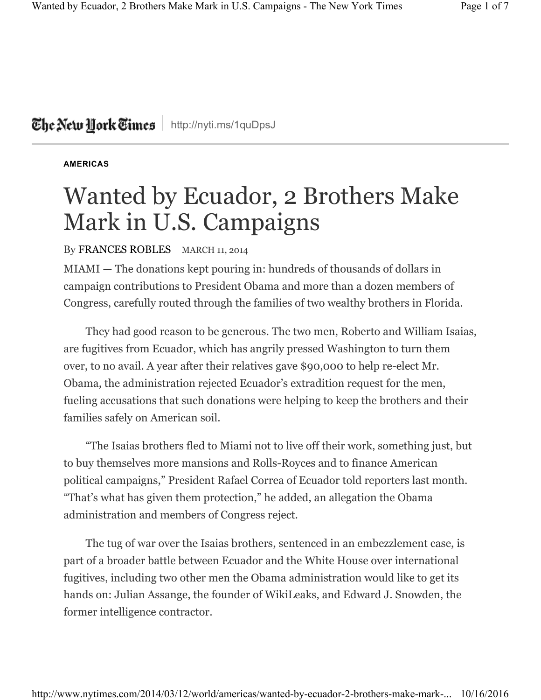## The Netu Hork Times | http://nyti.ms/1quDpsJ

## **AMERICAS**

## Wanted by Ecuador, 2 Brothers Make Mark in U.S. Campaigns

By FRANCES ROBLES MARCH 11, 2014

MIAMI — The donations kept pouring in: hundreds of thousands of dollars in campaign contributions to President Obama and more than a dozen members of Congress, carefully routed through the families of two wealthy brothers in Florida.

They had good reason to be generous. The two men, Roberto and William Isaias, are fugitives from Ecuador, which has angrily pressed Washington to turn them over, to no avail. A year after their relatives gave \$90,000 to help re-elect Mr. Obama, the administration rejected Ecuador's extradition request for the men, fueling accusations that such donations were helping to keep the brothers and their families safely on American soil.

"The Isaias brothers fled to Miami not to live off their work, something just, but to buy themselves more mansions and Rolls-Royces and to finance American political campaigns," President Rafael Correa of Ecuador told reporters last month. "That's what has given them protection," he added, an allegation the Obama administration and members of Congress reject.

The tug of war over the Isaias brothers, sentenced in an embezzlement case, is part of a broader battle between Ecuador and the White House over international fugitives, including two other men the Obama administration would like to get its hands on: Julian Assange, the founder of WikiLeaks, and Edward J. Snowden, the former intelligence contractor.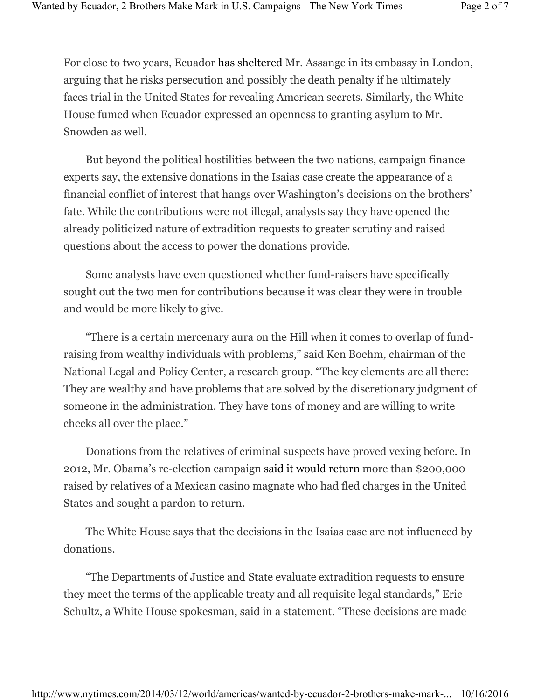For close to two years, Ecuador has sheltered Mr. Assange in its embassy in London, arguing that he risks persecution and possibly the death penalty if he ultimately faces trial in the United States for revealing American secrets. Similarly, the White House fumed when Ecuador expressed an openness to granting asylum to Mr. Snowden as well.

But beyond the political hostilities between the two nations, campaign finance experts say, the extensive donations in the Isaias case create the appearance of a financial conflict of interest that hangs over Washington's decisions on the brothers' fate. While the contributions were not illegal, analysts say they have opened the already politicized nature of extradition requests to greater scrutiny and raised questions about the access to power the donations provide.

Some analysts have even questioned whether fund-raisers have specifically sought out the two men for contributions because it was clear they were in trouble and would be more likely to give.

"There is a certain mercenary aura on the Hill when it comes to overlap of fundraising from wealthy individuals with problems," said Ken Boehm, chairman of the National Legal and Policy Center, a research group. "The key elements are all there: They are wealthy and have problems that are solved by the discretionary judgment of someone in the administration. They have tons of money and are willing to write checks all over the place."

Donations from the relatives of criminal suspects have proved vexing before. In 2012, Mr. Obama's re-election campaign said it would return more than \$200,000 raised by relatives of a Mexican casino magnate who had fled charges in the United States and sought a pardon to return.

The White House says that the decisions in the Isaias case are not influenced by donations.

"The Departments of Justice and State evaluate extradition requests to ensure they meet the terms of the applicable treaty and all requisite legal standards," Eric Schultz, a White House spokesman, said in a statement. "These decisions are made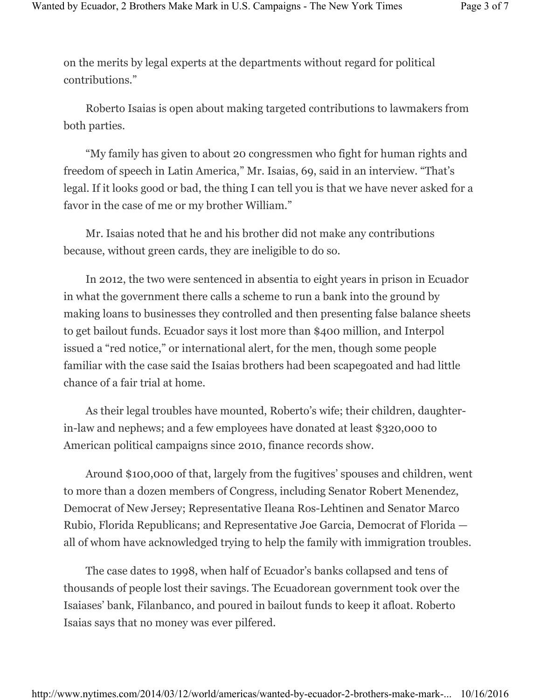on the merits by legal experts at the departments without regard for political contributions."

Roberto Isaias is open about making targeted contributions to lawmakers from both parties.

"My family has given to about 20 congressmen who fight for human rights and freedom of speech in Latin America," Mr. Isaias, 69, said in an interview. "That's legal. If it looks good or bad, the thing I can tell you is that we have never asked for a favor in the case of me or my brother William."

Mr. Isaias noted that he and his brother did not make any contributions because, without green cards, they are ineligible to do so.

In 2012, the two were sentenced in absentia to eight years in prison in Ecuador in what the government there calls a scheme to run a bank into the ground by making loans to businesses they controlled and then presenting false balance sheets to get bailout funds. Ecuador says it lost more than \$400 million, and Interpol issued a "red notice," or international alert, for the men, though some people familiar with the case said the Isaias brothers had been scapegoated and had little chance of a fair trial at home.

As their legal troubles have mounted, Roberto's wife; their children, daughterin-law and nephews; and a few employees have donated at least \$320,000 to American political campaigns since 2010, finance records show.

Around \$100,000 of that, largely from the fugitives' spouses and children, went to more than a dozen members of Congress, including Senator Robert Menendez, Democrat of New Jersey; Representative Ileana Ros-Lehtinen and Senator Marco Rubio, Florida Republicans; and Representative Joe Garcia, Democrat of Florida all of whom have acknowledged trying to help the family with immigration troubles.

The case dates to 1998, when half of Ecuador's banks collapsed and tens of thousands of people lost their savings. The Ecuadorean government took over the Isaiases' bank, Filanbanco, and poured in bailout funds to keep it afloat. Roberto Isaias says that no money was ever pilfered.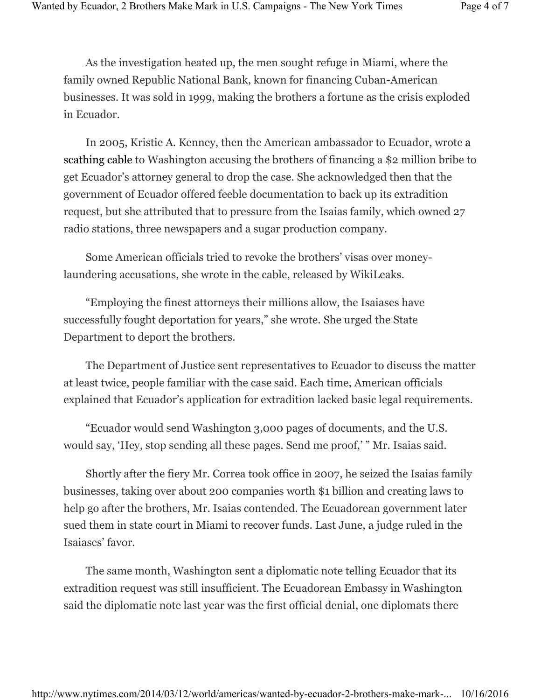As the investigation heated up, the men sought refuge in Miami, where the family owned Republic National Bank, known for financing Cuban-American businesses. It was sold in 1999, making the brothers a fortune as the crisis exploded in Ecuador.

In 2005, Kristie A. Kenney, then the American ambassador to Ecuador, wrote a scathing cable to Washington accusing the brothers of financing a \$2 million bribe to get Ecuador's attorney general to drop the case. She acknowledged then that the government of Ecuador offered feeble documentation to back up its extradition request, but she attributed that to pressure from the Isaias family, which owned 27 radio stations, three newspapers and a sugar production company.

Some American officials tried to revoke the brothers' visas over moneylaundering accusations, she wrote in the cable, released by WikiLeaks.

"Employing the finest attorneys their millions allow, the Isaiases have successfully fought deportation for years," she wrote. She urged the State Department to deport the brothers.

The Department of Justice sent representatives to Ecuador to discuss the matter at least twice, people familiar with the case said. Each time, American officials explained that Ecuador's application for extradition lacked basic legal requirements.

"Ecuador would send Washington 3,000 pages of documents, and the U.S. would say, 'Hey, stop sending all these pages. Send me proof,' " Mr. Isaias said.

Shortly after the fiery Mr. Correa took office in 2007, he seized the Isaias family businesses, taking over about 200 companies worth \$1 billion and creating laws to help go after the brothers, Mr. Isaias contended. The Ecuadorean government later sued them in state court in Miami to recover funds. Last June, a judge ruled in the Isaiases' favor.

The same month, Washington sent a diplomatic note telling Ecuador that its extradition request was still insufficient. The Ecuadorean Embassy in Washington said the diplomatic note last year was the first official denial, one diplomats there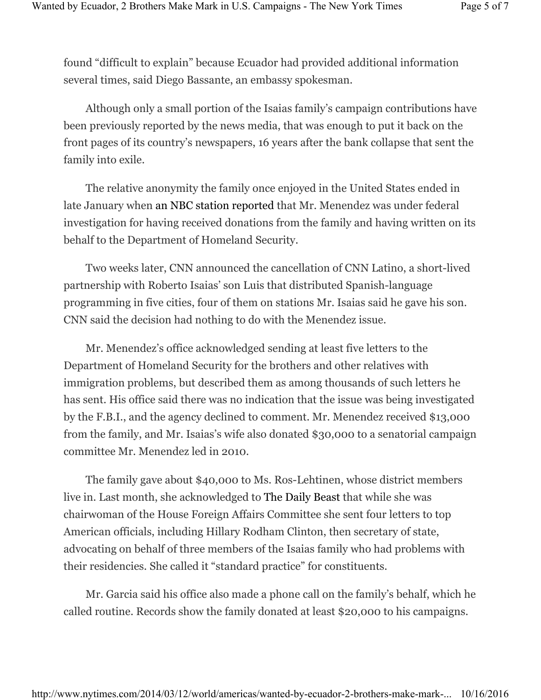found "difficult to explain" because Ecuador had provided additional information several times, said Diego Bassante, an embassy spokesman.

Although only a small portion of the Isaias family's campaign contributions have been previously reported by the news media, that was enough to put it back on the front pages of its country's newspapers, 16 years after the bank collapse that sent the family into exile.

The relative anonymity the family once enjoyed in the United States ended in late January when an NBC station reported that Mr. Menendez was under federal investigation for having received donations from the family and having written on its behalf to the Department of Homeland Security.

Two weeks later, CNN announced the cancellation of CNN Latino, a short-lived partnership with Roberto Isaias' son Luis that distributed Spanish-language programming in five cities, four of them on stations Mr. Isaias said he gave his son. CNN said the decision had nothing to do with the Menendez issue.

Mr. Menendez's office acknowledged sending at least five letters to the Department of Homeland Security for the brothers and other relatives with immigration problems, but described them as among thousands of such letters he has sent. His office said there was no indication that the issue was being investigated by the F.B.I., and the agency declined to comment. Mr. Menendez received \$13,000 from the family, and Mr. Isaias's wife also donated \$30,000 to a senatorial campaign committee Mr. Menendez led in 2010.

The family gave about \$40,000 to Ms. Ros-Lehtinen, whose district members live in. Last month, she acknowledged to The Daily Beast that while she was chairwoman of the House Foreign Affairs Committee she sent four letters to top American officials, including Hillary Rodham Clinton, then secretary of state, advocating on behalf of three members of the Isaias family who had problems with their residencies. She called it "standard practice" for constituents.

Mr. Garcia said his office also made a phone call on the family's behalf, which he called routine. Records show the family donated at least \$20,000 to his campaigns.